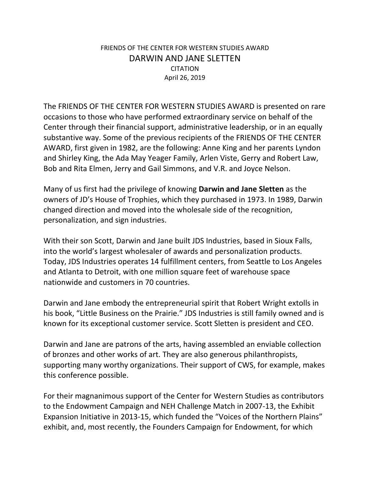## FRIENDS OF THE CENTER FOR WESTERN STUDIES AWARD DARWIN AND JANE SLETTEN **CITATION** April 26, 2019

The FRIENDS OF THE CENTER FOR WESTERN STUDIES AWARD is presented on rare occasions to those who have performed extraordinary service on behalf of the Center through their financial support, administrative leadership, or in an equally substantive way. Some of the previous recipients of the FRIENDS OF THE CENTER AWARD, first given in 1982, are the following: Anne King and her parents Lyndon and Shirley King, the Ada May Yeager Family, Arlen Viste, Gerry and Robert Law, Bob and Rita Elmen, Jerry and Gail Simmons, and V.R. and Joyce Nelson.

Many of us first had the privilege of knowing **Darwin and Jane Sletten** as the owners of JD's House of Trophies, which they purchased in 1973. In 1989, Darwin changed direction and moved into the wholesale side of the recognition, personalization, and sign industries.

With their son Scott, Darwin and Jane built JDS Industries, based in Sioux Falls, into the world's largest wholesaler of awards and personalization products. Today, JDS Industries operates 14 fulfillment centers, from Seattle to Los Angeles and Atlanta to Detroit, with one million square feet of warehouse space nationwide and customers in 70 countries.

Darwin and Jane embody the entrepreneurial spirit that Robert Wright extolls in his book, "Little Business on the Prairie." JDS Industries is still family owned and is known for its exceptional customer service. Scott Sletten is president and CEO.

Darwin and Jane are patrons of the arts, having assembled an enviable collection of bronzes and other works of art. They are also generous philanthropists, supporting many worthy organizations. Their support of CWS, for example, makes this conference possible.

For their magnanimous support of the Center for Western Studies as contributors to the Endowment Campaign and NEH Challenge Match in 2007-13, the Exhibit Expansion Initiative in 2013-15, which funded the "Voices of the Northern Plains" exhibit, and, most recently, the Founders Campaign for Endowment, for which